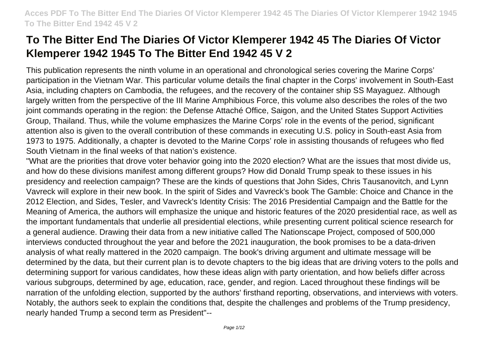This publication represents the ninth volume in an operational and chronological series covering the Marine Corps' participation in the Vietnam War. This particular volume details the final chapter in the Corps' involvement in South-East Asia, including chapters on Cambodia, the refugees, and the recovery of the container ship SS Mayaguez. Although largely written from the perspective of the III Marine Amphibious Force, this volume also describes the roles of the two joint commands operating in the region: the Defense Attaché Office, Saigon, and the United States Support Activities Group, Thailand. Thus, while the volume emphasizes the Marine Corps' role in the events of the period, significant attention also is given to the overall contribution of these commands in executing U.S. policy in South-east Asia from 1973 to 1975. Additionally, a chapter is devoted to the Marine Corps' role in assisting thousands of refugees who fled South Vietnam in the final weeks of that nation's existence.

"What are the priorities that drove voter behavior going into the 2020 election? What are the issues that most divide us, and how do these divisions manifest among different groups? How did Donald Trump speak to these issues in his presidency and reelection campaign? These are the kinds of questions that John Sides, Chris Tausanovitch, and Lynn Vavreck will explore in their new book. In the spirit of Sides and Vavreck's book The Gamble: Choice and Chance in the 2012 Election, and Sides, Tesler, and Vavreck's Identity Crisis: The 2016 Presidential Campaign and the Battle for the Meaning of America, the authors will emphasize the unique and historic features of the 2020 presidential race, as well as the important fundamentals that underlie all presidential elections, while presenting current political science research for a general audience. Drawing their data from a new initiative called The Nationscape Project, composed of 500,000 interviews conducted throughout the year and before the 2021 inauguration, the book promises to be a data-driven analysis of what really mattered in the 2020 campaign. The book's driving argument and ultimate message will be determined by the data, but their current plan is to devote chapters to the big ideas that are driving voters to the polls and determining support for various candidates, how these ideas align with party orientation, and how beliefs differ across various subgroups, determined by age, education, race, gender, and region. Laced throughout these findings will be narration of the unfolding election, supported by the authors' firsthand reporting, observations, and interviews with voters. Notably, the authors seek to explain the conditions that, despite the challenges and problems of the Trump presidency, nearly handed Trump a second term as President"--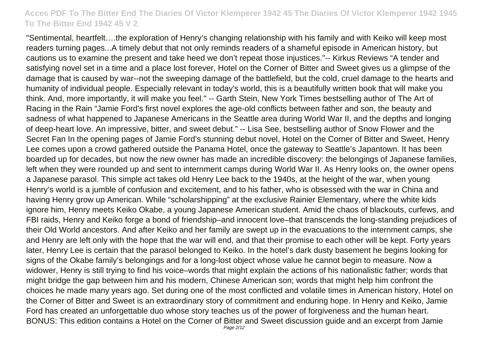"Sentimental, heartfelt….the exploration of Henry's changing relationship with his family and with Keiko will keep most readers turning pages...A timely debut that not only reminds readers of a shameful episode in American history, but cautions us to examine the present and take heed we don't repeat those injustices."-- Kirkus Reviews "A tender and satisfying novel set in a time and a place lost forever, Hotel on the Corner of Bitter and Sweet gives us a glimpse of the damage that is caused by war--not the sweeping damage of the battlefield, but the cold, cruel damage to the hearts and humanity of individual people. Especially relevant in today's world, this is a beautifully written book that will make you think. And, more importantly, it will make you feel." -- Garth Stein, New York Times bestselling author of The Art of Racing in the Rain "Jamie Ford's first novel explores the age-old conflicts between father and son, the beauty and sadness of what happened to Japanese Americans in the Seattle area during World War II, and the depths and longing of deep-heart love. An impressive, bitter, and sweet debut." -- Lisa See, bestselling author of Snow Flower and the Secret Fan In the opening pages of Jamie Ford's stunning debut novel, Hotel on the Corner of Bitter and Sweet, Henry Lee comes upon a crowd gathered outside the Panama Hotel, once the gateway to Seattle's Japantown. It has been boarded up for decades, but now the new owner has made an incredible discovery: the belongings of Japanese families, left when they were rounded up and sent to internment camps during World War II. As Henry looks on, the owner opens a Japanese parasol. This simple act takes old Henry Lee back to the 1940s, at the height of the war, when young Henry's world is a jumble of confusion and excitement, and to his father, who is obsessed with the war in China and having Henry grow up American. While "scholarshipping" at the exclusive Rainier Elementary, where the white kids ignore him, Henry meets Keiko Okabe, a young Japanese American student. Amid the chaos of blackouts, curfews, and FBI raids, Henry and Keiko forge a bond of friendship–and innocent love–that transcends the long-standing prejudices of their Old World ancestors. And after Keiko and her family are swept up in the evacuations to the internment camps, she and Henry are left only with the hope that the war will end, and that their promise to each other will be kept. Forty years later, Henry Lee is certain that the parasol belonged to Keiko. In the hotel's dark dusty basement he begins looking for signs of the Okabe family's belongings and for a long-lost object whose value he cannot begin to measure. Now a widower, Henry is still trying to find his voice–words that might explain the actions of his nationalistic father; words that might bridge the gap between him and his modern, Chinese American son; words that might help him confront the choices he made many years ago. Set during one of the most conflicted and volatile times in American history, Hotel on the Corner of Bitter and Sweet is an extraordinary story of commitment and enduring hope. In Henry and Keiko, Jamie Ford has created an unforgettable duo whose story teaches us of the power of forgiveness and the human heart. BONUS: This edition contains a Hotel on the Corner of Bitter and Sweet discussion guide and an excerpt from Jamie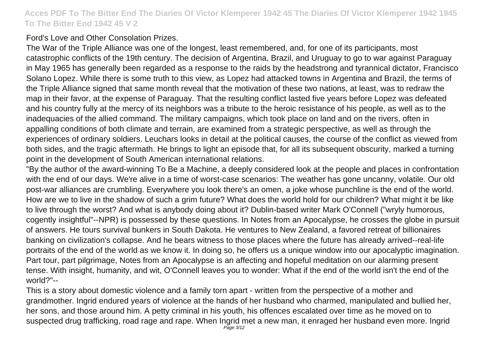#### Ford's Love and Other Consolation Prizes.

The War of the Triple Alliance was one of the longest, least remembered, and, for one of its participants, most catastrophic conflicts of the 19th century. The decision of Argentina, Brazil, and Uruguay to go to war against Paraguay in May 1965 has generally been regarded as a response to the raids by the headstrong and tyrannical dictator, Francisco Solano Lopez. While there is some truth to this view, as Lopez had attacked towns in Argentina and Brazil, the terms of the Triple Alliance signed that same month reveal that the motivation of these two nations, at least, was to redraw the map in their favor, at the expense of Paraguay. That the resulting conflict lasted five years before Lopez was defeated and his country fully at the mercy of its neighbors was a tribute to the heroic resistance of his people, as well as to the inadequacies of the allied command. The military campaigns, which took place on land and on the rivers, often in appalling conditions of both climate and terrain, are examined from a strategic perspective, as well as through the experiences of ordinary soldiers. Leuchars looks in detail at the political causes, the course of the conflict as viewed from both sides, and the tragic aftermath. He brings to light an episode that, for all its subsequent obscurity, marked a turning point in the development of South American international relations.

"By the author of the award-winning To Be a Machine, a deeply considered look at the people and places in confrontation with the end of our days. We're alive in a time of worst-case scenarios: The weather has gone uncanny, volatile. Our old post-war alliances are crumbling. Everywhere you look there's an omen, a joke whose punchline is the end of the world. How are we to live in the shadow of such a grim future? What does the world hold for our children? What might it be like to live through the worst? And what is anybody doing about it? Dublin-based writer Mark O'Connell ("wryly humorous, cogently insightful"--NPR) is possessed by these questions. In Notes from an Apocalypse, he crosses the globe in pursuit of answers. He tours survival bunkers in South Dakota. He ventures to New Zealand, a favored retreat of billionaires banking on civilization's collapse. And he bears witness to those places where the future has already arrived--real-life portraits of the end of the world as we know it. In doing so, he offers us a unique window into our apocalyptic imagination. Part tour, part pilgrimage, Notes from an Apocalypse is an affecting and hopeful meditation on our alarming present tense. With insight, humanity, and wit, O'Connell leaves you to wonder: What if the end of the world isn't the end of the world?"--

This is a story about domestic violence and a family torn apart - written from the perspective of a mother and grandmother. Ingrid endured years of violence at the hands of her husband who charmed, manipulated and bullied her, her sons, and those around him. A petty criminal in his youth, his offences escalated over time as he moved on to suspected drug trafficking, road rage and rape. When Ingrid met a new man, it enraged her husband even more. Ingrid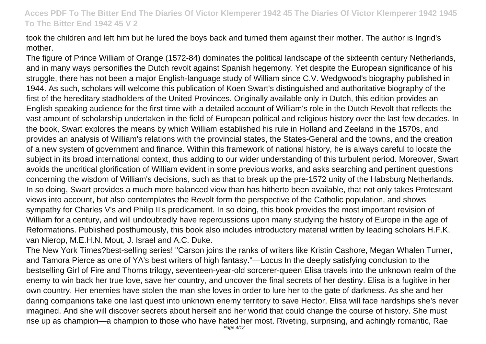took the children and left him but he lured the boys back and turned them against their mother. The author is Ingrid's mother.

The figure of Prince William of Orange (1572-84) dominates the political landscape of the sixteenth century Netherlands, and in many ways personifies the Dutch revolt against Spanish hegemony. Yet despite the European significance of his struggle, there has not been a major English-language study of William since C.V. Wedgwood's biography published in 1944. As such, scholars will welcome this publication of Koen Swart's distinguished and authoritative biography of the first of the hereditary stadholders of the United Provinces. Originally available only in Dutch, this edition provides an English speaking audience for the first time with a detailed account of William's role in the Dutch Revolt that reflects the vast amount of scholarship undertaken in the field of European political and religious history over the last few decades. In the book, Swart explores the means by which William established his rule in Holland and Zeeland in the 1570s, and provides an analysis of William's relations with the provincial states, the States-General and the towns, and the creation of a new system of government and finance. Within this framework of national history, he is always careful to locate the subject in its broad international context, thus adding to our wider understanding of this turbulent period. Moreover, Swart avoids the uncritical glorification of William evident in some previous works, and asks searching and pertinent questions concerning the wisdom of William's decisions, such as that to break up the pre-1572 unity of the Habsburg Netherlands. In so doing, Swart provides a much more balanced view than has hitherto been available, that not only takes Protestant views into account, but also contemplates the Revolt form the perspective of the Catholic population, and shows sympathy for Charles V's and Philip II's predicament. In so doing, this book provides the most important revision of William for a century, and will undoubtedly have repercussions upon many studying the history of Europe in the age of Reformations. Published posthumously, this book also includes introductory material written by leading scholars H.F.K. van Nierop, M.E.H.N. Mout, J. Israel and A.C. Duke.

The New York Times?best-selling series! "Carson joins the ranks of writers like Kristin Cashore, Megan Whalen Turner, and Tamora Pierce as one of YA's best writers of high fantasy."—Locus In the deeply satisfying conclusion to the bestselling Girl of Fire and Thorns trilogy, seventeen-year-old sorcerer-queen Elisa travels into the unknown realm of the enemy to win back her true love, save her country, and uncover the final secrets of her destiny. Elisa is a fugitive in her own country. Her enemies have stolen the man she loves in order to lure her to the gate of darkness. As she and her daring companions take one last quest into unknown enemy territory to save Hector, Elisa will face hardships she's never imagined. And she will discover secrets about herself and her world that could change the course of history. She must rise up as champion—a champion to those who have hated her most. Riveting, surprising, and achingly romantic, Rae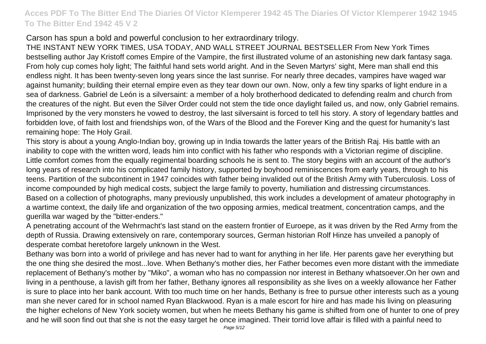Carson has spun a bold and powerful conclusion to her extraordinary trilogy.

THE INSTANT NEW YORK TIMES, USA TODAY, AND WALL STREET JOURNAL BESTSELLER From New York Times bestselling author Jay Kristoff comes Empire of the Vampire, the first illustrated volume of an astonishing new dark fantasy saga. From holy cup comes holy light; The faithful hand sets world aright. And in the Seven Martyrs' sight, Mere man shall end this endless night. It has been twenty-seven long years since the last sunrise. For nearly three decades, vampires have waged war against humanity; building their eternal empire even as they tear down our own. Now, only a few tiny sparks of light endure in a sea of darkness. Gabriel de León is a silversaint: a member of a holy brotherhood dedicated to defending realm and church from the creatures of the night. But even the Silver Order could not stem the tide once daylight failed us, and now, only Gabriel remains. Imprisoned by the very monsters he vowed to destroy, the last silversaint is forced to tell his story. A story of legendary battles and forbidden love, of faith lost and friendships won, of the Wars of the Blood and the Forever King and the quest for humanity's last remaining hope: The Holy Grail.

This story is about a young Anglo-Indian boy, growing up in India towards the latter years of the British Raj. His battle with an inability to cope with the written word, leads him into conflict with his father who responds with a Victorian regime of discipline. Little comfort comes from the equally regimental boarding schools he is sent to. The story begins with an account of the author's long years of research into his complicated family history, supported by boyhood reminiscences from early years, through to his teens. Partition of the subcontinent in 1947 coincides with father being invalided out of the British Army with Tuberculosis. Loss of income compounded by high medical costs, subject the large family to poverty, humiliation and distressing circumstances. Based on a collection of photographs, many previously unpublished, this work includes a development of amateur photography in a wartime context, the daily life and organization of the two opposing armies, medical treatment, concentration camps, and the guerilla war waged by the "bitter-enders."

A penetrating account of the Wehrmacht's last stand on the eastern frontier of Euroepe, as it was driven by the Red Army from the depth of Russia. Drawing extensively on rare, contemporary sources, German historian Rolf Hinze has unveiled a panoply of desperate combat heretofore largely unknown in the West.

Bethany was born into a world of privilege and has never had to want for anything in her life. Her parents gave her everything but the one thing she desired the most...love. When Bethany's mother dies, her Father becomes even more distant with the immediate replacement of Bethany's mother by "Miko", a woman who has no compassion nor interest in Bethany whatsoever.On her own and living in a penthouse, a lavish gift from her father, Bethany ignores all responsibility as she lives on a weekly allowance her Father is sure to place into her bank account. With too much time on her hands, Bethany is free to pursue other interests such as a young man she never cared for in school named Ryan Blackwood. Ryan is a male escort for hire and has made his living on pleasuring the higher echelons of New York society women, but when he meets Bethany his game is shifted from one of hunter to one of prey and he will soon find out that she is not the easy target he once imagined. Their torrid love affair is filled with a painful need to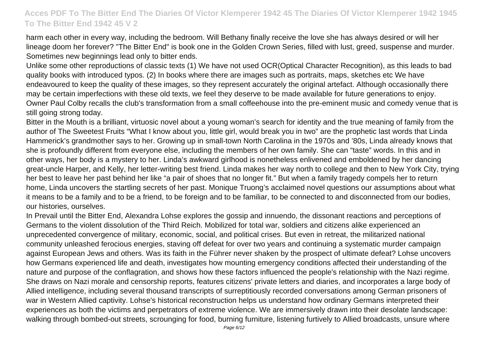harm each other in every way, including the bedroom. Will Bethany finally receive the love she has always desired or will her lineage doom her forever? "The Bitter End" is book one in the Golden Crown Series, filled with lust, greed, suspense and murder. Sometimes new beginnings lead only to bitter ends.

Unlike some other reproductions of classic texts (1) We have not used OCR(Optical Character Recognition), as this leads to bad quality books with introduced typos. (2) In books where there are images such as portraits, maps, sketches etc We have endeavoured to keep the quality of these images, so they represent accurately the original artefact. Although occasionally there may be certain imperfections with these old texts, we feel they deserve to be made available for future generations to enjoy. Owner Paul Colby recalls the club's transformation from a small coffeehouse into the pre-eminent music and comedy venue that is still going strong today.

Bitter in the Mouth is a brilliant, virtuosic novel about a young woman's search for identity and the true meaning of family from the author of The Sweetest Fruits "What I know about you, little girl, would break you in two" are the prophetic last words that Linda Hammerick's grandmother says to her. Growing up in small-town North Carolina in the 1970s and '80s, Linda already knows that she is profoundly different from everyone else, including the members of her own family. She can "taste" words. In this and in other ways, her body is a mystery to her. Linda's awkward girlhood is nonetheless enlivened and emboldened by her dancing great-uncle Harper, and Kelly, her letter-writing best friend. Linda makes her way north to college and then to New York City, trying her best to leave her past behind her like "a pair of shoes that no longer fit." But when a family tragedy compels her to return home, Linda uncovers the startling secrets of her past. Monique Truong's acclaimed novel questions our assumptions about what it means to be a family and to be a friend, to be foreign and to be familiar, to be connected to and disconnected from our bodies, our histories, ourselves.

In Prevail until the Bitter End, Alexandra Lohse explores the gossip and innuendo, the dissonant reactions and perceptions of Germans to the violent dissolution of the Third Reich. Mobilized for total war, soldiers and citizens alike experienced an unprecedented convergence of military, economic, social, and political crises. But even in retreat, the militarized national community unleashed ferocious energies, staving off defeat for over two years and continuing a systematic murder campaign against European Jews and others. Was its faith in the Führer never shaken by the prospect of ultimate defeat? Lohse uncovers how Germans experienced life and death, investigates how mounting emergency conditions affected their understanding of the nature and purpose of the conflagration, and shows how these factors influenced the people's relationship with the Nazi regime. She draws on Nazi morale and censorship reports, features citizens' private letters and diaries, and incorporates a large body of Allied intelligence, including several thousand transcripts of surreptitiously recorded conversations among German prisoners of war in Western Allied captivity. Lohse's historical reconstruction helps us understand how ordinary Germans interpreted their experiences as both the victims and perpetrators of extreme violence. We are immersively drawn into their desolate landscape: walking through bombed-out streets, scrounging for food, burning furniture, listening furtively to Allied broadcasts, unsure where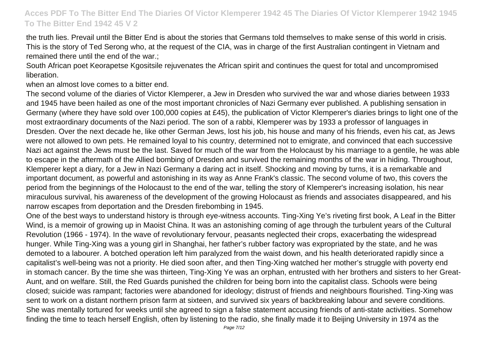the truth lies. Prevail until the Bitter End is about the stories that Germans told themselves to make sense of this world in crisis. This is the story of Ted Serong who, at the request of the CIA, was in charge of the first Australian contingent in Vietnam and remained there until the end of the war.;

South African poet Keorapetse Kgositsile rejuvenates the African spirit and continues the quest for total and uncompromised liberation.

when an almost love comes to a bitter end.

The second volume of the diaries of Victor Klemperer, a Jew in Dresden who survived the war and whose diaries between 1933 and 1945 have been hailed as one of the most important chronicles of Nazi Germany ever published. A publishing sensation in Germany (where they have sold over 100,000 copies at £45), the publication of Victor Klemperer's diaries brings to light one of the most extraordinary documents of the Nazi period. The son of a rabbi, Klemperer was by 1933 a professor of languages in Dresden. Over the next decade he, like other German Jews, lost his job, his house and many of his friends, even his cat, as Jews were not allowed to own pets. He remained loyal to his country, determined not to emigrate, and convinced that each successive Nazi act against the Jews must be the last. Saved for much of the war from the Holocaust by his marriage to a gentile, he was able to escape in the aftermath of the Allied bombing of Dresden and survived the remaining months of the war in hiding. Throughout, Klemperer kept a diary, for a Jew in Nazi Germany a daring act in itself. Shocking and moving by turns, it is a remarkable and important document, as powerful and astonishing in its way as Anne Frank's classic. The second volume of two, this covers the period from the beginnings of the Holocaust to the end of the war, telling the story of Klemperer's increasing isolation, his near miraculous survival, his awareness of the development of the growing Holocaust as friends and associates disappeared, and his narrow escapes from deportation and the Dresden firebombing in 1945.

One of the best ways to understand history is through eye-witness accounts. Ting-Xing Ye's riveting first book, A Leaf in the Bitter Wind, is a memoir of growing up in Maoist China. It was an astonishing coming of age through the turbulent years of the Cultural Revolution (1966 - 1974). In the wave of revolutionary fervour, peasants neglected their crops, exacerbating the widespread hunger. While Ting-Xing was a young girl in Shanghai, her father's rubber factory was expropriated by the state, and he was demoted to a labourer. A botched operation left him paralyzed from the waist down, and his health deteriorated rapidly since a capitalist's well-being was not a priority. He died soon after, and then Ting-Xing watched her mother's struggle with poverty end in stomach cancer. By the time she was thirteen, Ting-Xing Ye was an orphan, entrusted with her brothers and sisters to her Great-Aunt, and on welfare. Still, the Red Guards punished the children for being born into the capitalist class. Schools were being closed; suicide was rampant; factories were abandoned for ideology; distrust of friends and neighbours flourished. Ting-Xing was sent to work on a distant northern prison farm at sixteen, and survived six years of backbreaking labour and severe conditions. She was mentally tortured for weeks until she agreed to sign a false statement accusing friends of anti-state activities. Somehow finding the time to teach herself English, often by listening to the radio, she finally made it to Beijing University in 1974 as the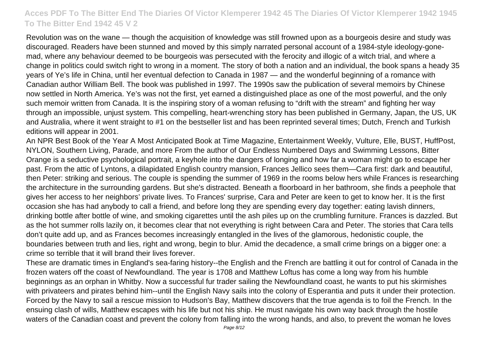Revolution was on the wane — though the acquisition of knowledge was still frowned upon as a bourgeois desire and study was discouraged. Readers have been stunned and moved by this simply narrated personal account of a 1984-style ideology-gonemad, where any behaviour deemed to be bourgeois was persecuted with the ferocity and illogic of a witch trial, and where a change in politics could switch right to wrong in a moment. The story of both a nation and an individual, the book spans a heady 35 years of Ye's life in China, until her eventual defection to Canada in 1987 — and the wonderful beginning of a romance with Canadian author William Bell. The book was published in 1997. The 1990s saw the publication of several memoirs by Chinese now settled in North America. Ye's was not the first, yet earned a distinguished place as one of the most powerful, and the only such memoir written from Canada. It is the inspiring story of a woman refusing to "drift with the stream" and fighting her way through an impossible, unjust system. This compelling, heart-wrenching story has been published in Germany, Japan, the US, UK and Australia, where it went straight to #1 on the bestseller list and has been reprinted several times; Dutch, French and Turkish editions will appear in 2001.

An NPR Best Book of the Year A Most Anticipated Book at Time Magazine, Entertainment Weekly, Vulture, Elle, BUST, HuffPost, NYLON, Southern Living, Parade, and more From the author of Our Endless Numbered Days and Swimming Lessons, Bitter Orange is a seductive psychological portrait, a keyhole into the dangers of longing and how far a woman might go to escape her past. From the attic of Lyntons, a dilapidated English country mansion, Frances Jellico sees them—Cara first: dark and beautiful, then Peter: striking and serious. The couple is spending the summer of 1969 in the rooms below hers while Frances is researching the architecture in the surrounding gardens. But she's distracted. Beneath a floorboard in her bathroom, she finds a peephole that gives her access to her neighbors' private lives. To Frances' surprise, Cara and Peter are keen to get to know her. It is the first occasion she has had anybody to call a friend, and before long they are spending every day together: eating lavish dinners, drinking bottle after bottle of wine, and smoking cigarettes until the ash piles up on the crumbling furniture. Frances is dazzled. But as the hot summer rolls lazily on, it becomes clear that not everything is right between Cara and Peter. The stories that Cara tells don't quite add up, and as Frances becomes increasingly entangled in the lives of the glamorous, hedonistic couple, the boundaries between truth and lies, right and wrong, begin to blur. Amid the decadence, a small crime brings on a bigger one: a crime so terrible that it will brand their lives forever.

These are dramatic times in England's sea-faring history--the English and the French are battling it out for control of Canada in the frozen waters off the coast of Newfoundland. The year is 1708 and Matthew Loftus has come a long way from his humble beginnings as an orphan in Whitby. Now a successful fur trader sailing the Newfoundland coast, he wants to put his skirmishes with privateers and pirates behind him--until the English Navy sails into the colony of Esperantia and puts it under their protection. Forced by the Navy to sail a rescue mission to Hudson's Bay, Matthew discovers that the true agenda is to foil the French. In the ensuing clash of wills, Matthew escapes with his life but not his ship. He must navigate his own way back through the hostile waters of the Canadian coast and prevent the colony from falling into the wrong hands, and also, to prevent the woman he loves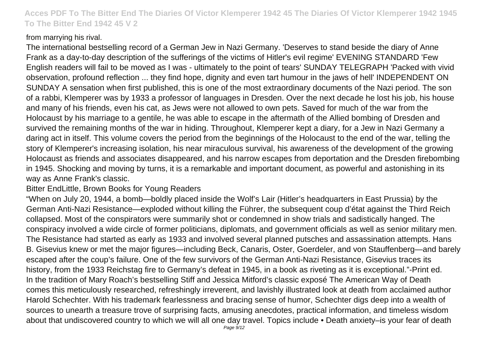#### from marrying his rival.

The international bestselling record of a German Jew in Nazi Germany. 'Deserves to stand beside the diary of Anne Frank as a day-to-day description of the sufferings of the victims of Hitler's evil regime' EVENING STANDARD 'Few English readers will fail to be moved as I was - ultimately to the point of tears' SUNDAY TELEGRAPH 'Packed with vivid observation, profound reflection ... they find hope, dignity and even tart humour in the jaws of hell' INDEPENDENT ON SUNDAY A sensation when first published, this is one of the most extraordinary documents of the Nazi period. The son of a rabbi, Klemperer was by 1933 a professor of languages in Dresden. Over the next decade he lost his job, his house and many of his friends, even his cat, as Jews were not allowed to own pets. Saved for much of the war from the Holocaust by his marriage to a gentile, he was able to escape in the aftermath of the Allied bombing of Dresden and survived the remaining months of the war in hiding. Throughout, Klemperer kept a diary, for a Jew in Nazi Germany a daring act in itself. This volume covers the period from the beginnings of the Holocaust to the end of the war, telling the story of Klemperer's increasing isolation, his near miraculous survival, his awareness of the development of the growing Holocaust as friends and associates disappeared, and his narrow escapes from deportation and the Dresden firebombing in 1945. Shocking and moving by turns, it is a remarkable and important document, as powerful and astonishing in its way as Anne Frank's classic.

Bitter EndLittle, Brown Books for Young Readers

"When on July 20, 1944, a bomb—boldly placed inside the Wolf's Lair (Hitler's headquarters in East Prussia) by the German Anti-Nazi Resistance—exploded without killing the Führer, the subsequent coup d'état against the Third Reich collapsed. Most of the conspirators were summarily shot or condemned in show trials and sadistically hanged. The conspiracy involved a wide circle of former politicians, diplomats, and government officials as well as senior military men. The Resistance had started as early as 1933 and involved several planned putsches and assassination attempts. Hans B. Gisevius knew or met the major figures—including Beck, Canaris, Oster, Goerdeler, and von Stauffenberg—and barely escaped after the coup's failure. One of the few survivors of the German Anti-Nazi Resistance, Gisevius traces its history, from the 1933 Reichstag fire to Germany's defeat in 1945, in a book as riveting as it is exceptional."-Print ed. In the tradition of Mary Roach's bestselling Stiff and Jessica Mitford's classic exposé The American Way of Death comes this meticulously researched, refreshingly irreverent, and lavishly illustrated look at death from acclaimed author Harold Schechter. With his trademark fearlessness and bracing sense of humor, Schechter digs deep into a wealth of sources to unearth a treasure trove of surprising facts, amusing anecdotes, practical information, and timeless wisdom about that undiscovered country to which we will all one day travel. Topics include • Death anxiety–is your fear of death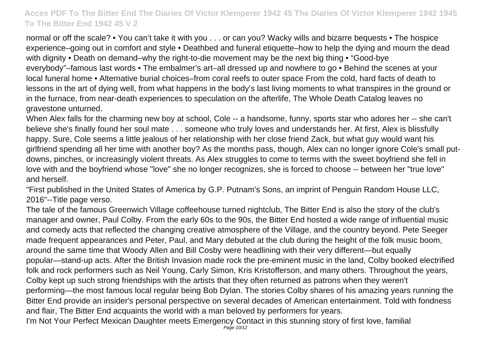normal or off the scale? • You can't take it with you . . . or can you? Wacky wills and bizarre bequests • The hospice experience–going out in comfort and style • Deathbed and funeral etiquette–how to help the dying and mourn the dead with dignity • Death on demand–why the right-to-die movement may be the next big thing • "Good-bye" everybody"–famous last words • The embalmer's art–all dressed up and nowhere to go • Behind the scenes at your local funeral home • Alternative burial choices–from coral reefs to outer space From the cold, hard facts of death to lessons in the art of dying well, from what happens in the body's last living moments to what transpires in the ground or in the furnace, from near-death experiences to speculation on the afterlife, The Whole Death Catalog leaves no gravestone unturned.

When Alex falls for the charming new boy at school, Cole -- a handsome, funny, sports star who adores her -- she can't believe she's finally found her soul mate . . . someone who truly loves and understands her. At first, Alex is blissfully happy. Sure, Cole seems a little jealous of her relationship with her close friend Zack, but what guy would want his girlfriend spending all her time with another boy? As the months pass, though, Alex can no longer ignore Cole's small putdowns, pinches, or increasingly violent threats. As Alex struggles to come to terms with the sweet boyfriend she fell in love with and the boyfriend whose "love" she no longer recognizes, she is forced to choose -- between her "true love" and herself.

"First published in the United States of America by G.P. Putnam's Sons, an imprint of Penguin Random House LLC, 2016"--Title page verso.

The tale of the famous Greenwich Village coffeehouse turned nightclub, The Bitter End is also the story of the club's manager and owner, Paul Colby. From the early 60s to the 90s, the Bitter End hosted a wide range of influential music and comedy acts that reflected the changing creative atmosphere of the Village, and the country beyond. Pete Seeger made frequent appearances and Peter, Paul, and Mary debuted at the club during the height of the folk music boom, around the same time that Woody Allen and Bill Cosby were headlining with their very different—but equally popular—stand-up acts. After the British Invasion made rock the pre-eminent music in the land, Colby booked electrified folk and rock performers such as Neil Young, Carly Simon, Kris Kristofferson, and many others. Throughout the years, Colby kept up such strong friendships with the artists that they often returned as patrons when they weren't performing—the most famous local regular being Bob Dylan. The stories Colby shares of his amazing years running the Bitter End provide an insider's personal perspective on several decades of American entertainment. Told with fondness and flair, The Bitter End acquaints the world with a man beloved by performers for years. I'm Not Your Perfect Mexican Daughter meets Emergency Contact in this stunning story of first love, familial

Page 10/12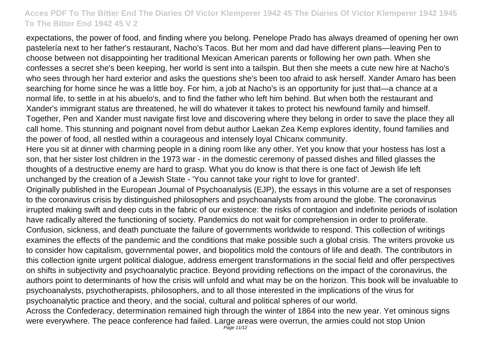expectations, the power of food, and finding where you belong. Penelope Prado has always dreamed of opening her own pastelería next to her father's restaurant, Nacho's Tacos. But her mom and dad have different plans—leaving Pen to choose between not disappointing her traditional Mexican American parents or following her own path. When she confesses a secret she's been keeping, her world is sent into a tailspin. But then she meets a cute new hire at Nacho's who sees through her hard exterior and asks the questions she's been too afraid to ask herself. Xander Amaro has been searching for home since he was a little boy. For him, a job at Nacho's is an opportunity for just that—a chance at a normal life, to settle in at his abuelo's, and to find the father who left him behind. But when both the restaurant and Xander's immigrant status are threatened, he will do whatever it takes to protect his newfound family and himself. Together, Pen and Xander must navigate first love and discovering where they belong in order to save the place they all call home. This stunning and poignant novel from debut author Laekan Zea Kemp explores identity, found families and the power of food, all nestled within a courageous and intensely loyal Chicanx community. Here you sit at dinner with charming people in a dining room like any other. Yet you know that your hostess has lost a son, that her sister lost children in the 1973 war - in the domestic ceremony of passed dishes and filled glasses the thoughts of a destructive enemy are hard to grasp. What you do know is that there is one fact of Jewish life left unchanged by the creation of a Jewish State - 'You cannot take your right to love for granted'. Originally published in the European Journal of Psychoanalysis (EJP), the essays in this volume are a set of responses to the coronavirus crisis by distinguished philosophers and psychoanalysts from around the globe. The coronavirus irrupted making swift and deep cuts in the fabric of our existence: the risks of contagion and indefinite periods of isolation have radically altered the functioning of society. Pandemics do not wait for comprehension in order to proliferate. Confusion, sickness, and death punctuate the failure of governments worldwide to respond. This collection of writings examines the effects of the pandemic and the conditions that make possible such a global crisis. The writers provoke us to consider how capitalism, governmental power, and biopolitics mold the contours of life and death. The contributors in this collection ignite urgent political dialogue, address emergent transformations in the social field and offer perspectives

on shifts in subjectivity and psychoanalytic practice. Beyond providing reflections on the impact of the coronavirus, the authors point to determinants of how the crisis will unfold and what may be on the horizon. This book will be invaluable to psychoanalysts, psychotherapists, philosophers, and to all those interested in the implications of the virus for psychoanalytic practice and theory, and the social, cultural and political spheres of our world.

Across the Confederacy, determination remained high through the winter of 1864 into the new year. Yet ominous signs were everywhere. The peace conference had failed. Large areas were overrun, the armies could not stop Union